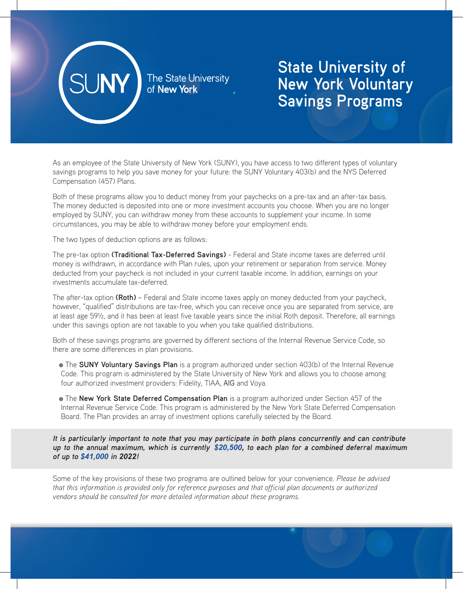

The State University<br>of **New York** 

## **State University of New York Voluntary Savings Programs**

As an employee of the State University of New York (SUNY), you have access to two different types of voluntary savings programs to help you save money for your future: the SUNY Voluntary 403(b) and the NYS Deferred Compensation (457) Plans.

Both of these programs allow you to deduct money from your paychecks on a pre-tax and an after-tax basis. The money deducted is deposited into one or more investment accounts you choose. When you are no longer employed by SUNY, you can withdraw money from these accounts to supplement your income. In some circumstances, you may be able to withdraw money before your employment ends.

The two types of deduction options are as follows:

The pre-tax option **(Traditional Tax-Deferred Savings)** - Federal and State income taxes are deferred until money is withdrawn, in accordance with Plan rules, upon your retirement or separation from service. Money deducted from your paycheck is not included in your current taxable income. In addition, earnings on your investments accumulate tax-deferred.

The after-tax option **(Roth)** – Federal and State income taxes apply on money deducted from your paycheck, however, "qualified" distributions are tax-free, which you can receive once you are separated from service, are at least age 59½, and it has been at least five taxable years since the initial Roth deposit. Therefore, all earnings under this savings option are not taxable to you when you take qualified distributions.

Both of these savings programs are governed by different sections of the Internal Revenue Service Code, so there are some differences in plan provisions.

- The **SUNY Voluntary Savings Plan** is a program authorized under section 403(b) of the Internal Revenue Code. This program is administered by the State University of New York and allows you to choose among four authorized investment providers: Fidelity, TIAA, AIG and Voya.
- The **New York State Deferred Compensation Plan** is a program authorized under Section 457 of the Internal Revenue Service Code. This program is administered by the New York State Deferred Compensation Board. The Plan provides an array of investment options carefully selected by the Board.

**It is particularly important to note that you may participate in both plans concurrently and can contribute up to the annual maximum, which is currently** *\$20,500,* **to each plan for a combined deferral maximum of up to** *\$41,000* **in** *2022***!**

Some of the key provisions of these two programs are outlined below for your convenience. *Please be advised that this information is provided only for reference purposes and that official plan documents or authorized vendors should be consulted for more detailed information about these programs.*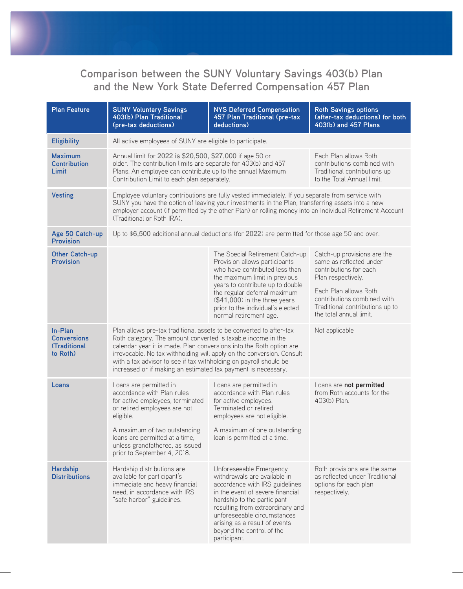## **Comparison between the SUNY Voluntary Savings 403(b) Plan and the New York State Deferred Compensation 457 Plan**

| <b>Plan Feature</b>                                              | <b>SUNY Voluntary Savings</b><br>403(b) Plan Traditional<br>(pre-tax deductions)                                                                                                                                                                                                                                                                                                                                                            | <b>NYS Deferred Compensation</b><br>457 Plan Traditional (pre-tax<br>deductions)                                                                                                                                                                                                                              | <b>Roth Savings options</b><br>(after-tax deductions) for both<br>403(b) and 457 Plans                                                                                                                                       |  |  |
|------------------------------------------------------------------|---------------------------------------------------------------------------------------------------------------------------------------------------------------------------------------------------------------------------------------------------------------------------------------------------------------------------------------------------------------------------------------------------------------------------------------------|---------------------------------------------------------------------------------------------------------------------------------------------------------------------------------------------------------------------------------------------------------------------------------------------------------------|------------------------------------------------------------------------------------------------------------------------------------------------------------------------------------------------------------------------------|--|--|
| <b>Eligibility</b>                                               | All active employees of SUNY are eligible to participate.                                                                                                                                                                                                                                                                                                                                                                                   |                                                                                                                                                                                                                                                                                                               |                                                                                                                                                                                                                              |  |  |
| <b>Maximum</b><br><b>Contribution</b><br>Limit                   | Annual limit for 2022 is \$20,500, \$27,000 if age 50 or<br>older. The contribution limits are separate for 403(b) and 457<br>Plans. An employee can contribute up to the annual Maximum<br>Contribution Limit to each plan separately.                                                                                                                                                                                                     |                                                                                                                                                                                                                                                                                                               | Each Plan allows Roth<br>contributions combined with<br>Traditional contributions up<br>to the Total Annual limit.                                                                                                           |  |  |
| <b>Vesting</b>                                                   | Employee voluntary contributions are fully vested immediately. If you separate from service with<br>SUNY you have the option of leaving your investments in the Plan, transferring assets into a new<br>employer account (if permitted by the other Plan) or rolling money into an Individual Retirement Account<br>(Traditional or Roth IRA).                                                                                              |                                                                                                                                                                                                                                                                                                               |                                                                                                                                                                                                                              |  |  |
| Age 50 Catch-up<br><b>Provision</b>                              | Up to \$6,500 additional annual deductions (for 2022) are permitted for those age 50 and over.                                                                                                                                                                                                                                                                                                                                              |                                                                                                                                                                                                                                                                                                               |                                                                                                                                                                                                                              |  |  |
| Other Catch-up<br><b>Provision</b>                               |                                                                                                                                                                                                                                                                                                                                                                                                                                             | The Special Retirement Catch-up<br>Provision allows participants<br>who have contributed less than<br>the maximum limit in previous<br>years to contribute up to double<br>the regular deferral maximum<br>(\$41,000) in the three years<br>prior to the individual's elected<br>normal retirement age.       | Catch-up provisions are the<br>same as reflected under<br>contributions for each<br>Plan respectively.<br>Each Plan allows Roth<br>contributions combined with<br>Traditional contributions up to<br>the total annual limit. |  |  |
| In-Plan<br><b>Conversions</b><br><b>(Traditional</b><br>to Roth) | Not applicable<br>Plan allows pre-tax traditional assets to be converted to after-tax<br>Roth category. The amount converted is taxable income in the<br>calendar year it is made. Plan conversions into the Roth option are<br>irrevocable. No tax withholding will apply on the conversion. Consult<br>with a tax advisor to see if tax withholding on payroll should be<br>increased or if making an estimated tax payment is necessary. |                                                                                                                                                                                                                                                                                                               |                                                                                                                                                                                                                              |  |  |
| Loans                                                            | Loans are permitted in<br>accordance with Plan rules<br>for active employees, terminated<br>or retired employees are not<br>eligible.<br>A maximum of two outstanding<br>loans are permitted at a time,<br>unless grandfathered, as issued<br>prior to September 4, 2018.                                                                                                                                                                   | Loans are permitted in<br>accordance with Plan rules<br>for active employees.<br>Terminated or retired<br>employees are not eligible.<br>A maximum of one outstanding<br>loan is permitted at a time.                                                                                                         | Loans are not permitted<br>from Roth accounts for the<br>403(b) Plan.                                                                                                                                                        |  |  |
| <b>Hardship</b><br><b>Distributions</b>                          | Hardship distributions are<br>available for participant's<br>immediate and heavy financial<br>need, in accordance with IRS<br>"safe harbor" guidelines.                                                                                                                                                                                                                                                                                     | Unforeseeable Emergency<br>withdrawals are available in<br>accordance with IRS guidelines<br>in the event of severe financial<br>hardship to the participant<br>resulting from extraordinary and<br>unforeseeable circumstances<br>arising as a result of events<br>beyond the control of the<br>participant. | Roth provisions are the same<br>as reflected under Traditional<br>options for each plan<br>respectively.                                                                                                                     |  |  |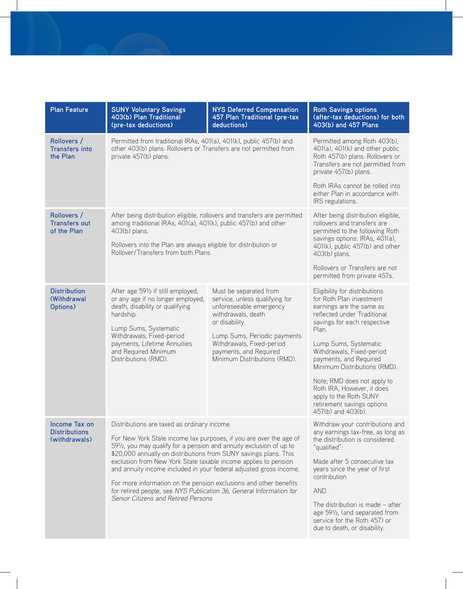| <b>Plan Feature</b>                                    | <b>SUNY Voluntary Savings</b><br>403(b) Plan Traditional<br>(pre-tax deductions)                                                                                                                                                                                                                                                                                                                                                                                                                                                                                                        | <b>NYS Deferred Compensation</b><br>457 Plan Traditional (pre-tax<br>deductions)                                                                                                                                                                   | <b>Roth Savings options</b><br>(after-tax deductions) for both<br>403(b) and 457 Plans                                                                                                                                                                                                                                                                                                                                  |
|--------------------------------------------------------|-----------------------------------------------------------------------------------------------------------------------------------------------------------------------------------------------------------------------------------------------------------------------------------------------------------------------------------------------------------------------------------------------------------------------------------------------------------------------------------------------------------------------------------------------------------------------------------------|----------------------------------------------------------------------------------------------------------------------------------------------------------------------------------------------------------------------------------------------------|-------------------------------------------------------------------------------------------------------------------------------------------------------------------------------------------------------------------------------------------------------------------------------------------------------------------------------------------------------------------------------------------------------------------------|
| Rollovers /<br><b>Transfers into</b><br>the Plan       | Permitted from traditional IRAs, 401(a), 401(k), public 457(b) and<br>other 403(b) plans. Rollovers or Transfers are not permitted from<br>private 457(b) plans.                                                                                                                                                                                                                                                                                                                                                                                                                        |                                                                                                                                                                                                                                                    | Permitted among Roth 403(b),<br>401(a), 401(k) and other public<br>Roth 457(b) plans. Rollovers or<br>Transfers are not permitted from<br>private 457(b) plans.                                                                                                                                                                                                                                                         |
|                                                        |                                                                                                                                                                                                                                                                                                                                                                                                                                                                                                                                                                                         |                                                                                                                                                                                                                                                    | Roth IRAs cannot be rolled into<br>either Plan in accordance with<br>IRS regulations.                                                                                                                                                                                                                                                                                                                                   |
| Rollovers /<br><b>Transfers out</b><br>of the Plan     | After being distribution eligible, rollovers and transfers are permitted<br>among traditional IRAs, 401(a), 401(k), public 457(b) and other<br>403(b) plans.<br>Rollovers into the Plan are always eligible for distribution or<br>Rollover/Transfers from both Plans.                                                                                                                                                                                                                                                                                                                  |                                                                                                                                                                                                                                                    | After being distribution eligible,<br>rollovers and transfers are<br>permitted to the following Roth<br>savings options: IRAs, 401(a),<br>401(k), public 457(b) and other<br>403(b) plans.                                                                                                                                                                                                                              |
|                                                        |                                                                                                                                                                                                                                                                                                                                                                                                                                                                                                                                                                                         |                                                                                                                                                                                                                                                    | Rollovers or Transfers are not<br>permitted from private 457s.                                                                                                                                                                                                                                                                                                                                                          |
| <b>Distribution</b><br><b>(Withdrawal</b><br>Options)  | After age 591/2 if still employed,<br>or any age if no longer employed,<br>death, disability or qualifying<br>hardship.<br>Lump Sums, Systematic<br>Withdrawals, Fixed-period<br>payments, Lifetime Annuities<br>and Required Minimum<br>Distributions (RMD).                                                                                                                                                                                                                                                                                                                           | Must be separated from<br>service, unless qualifying for<br>unforeseeable emergency<br>withdrawals, death<br>or disability.<br>Lump Sums, Periodic payments<br>Withdrawals, Fixed-period<br>payments, and Required<br>Minimum Distributions (RMD). | Eligibility for distributions<br>for Roth Plan investment<br>earnings are the same as<br>reflected under Traditional<br>savings for each respective<br>Plan.<br>Lump Sums, Systematic<br>Withdrawals, Fixed-period<br>payments, and Required<br>Minimum Distributions (RMD).<br>Note; RMD does not apply to<br>Roth IRA, However, it does<br>apply to the Roth SUNY<br>retirement savings options<br>457(b) and 403(b). |
| Income Tax on<br><b>Distributions</b><br>(withdrawals) | Distributions are taxed as ordinary income<br>For New York State income tax purposes, if you are over the age of<br>591/2, you may qualify for a pension and annuity exclusion of up to<br>\$20,000 annually on distributions from SUNY savings plans. This<br>exclusion from New York State taxable income applies to pension<br>and annuity income included in your federal adjusted gross income.<br>For more information on the pension exclusions and other benefits<br>for retired people, see NYS Publication 36, General Information for<br>Senior Citizens and Retired Persons |                                                                                                                                                                                                                                                    | Withdraw your contributions and<br>any earnings tax-free, as long as<br>the distribution is considered<br>"qualified":<br>Made after 5 consecutive tax<br>years since the year of first<br>contribution<br><b>AND</b><br>The distribution is made $-$ after<br>age 591/2, (and separated from<br>service for the Roth 457) or<br>due to death, or disability.                                                           |